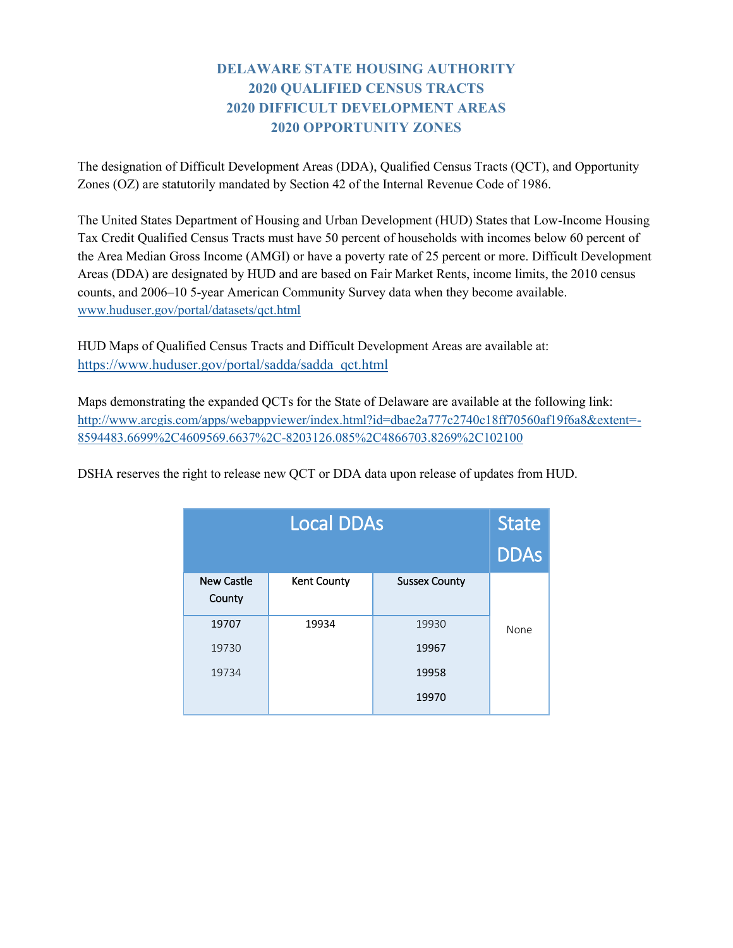## **DELAWARE STATE HOUSING AUTHORITY 2020 QUALIFIED CENSUS TRACTS 2020 DIFFICULT DEVELOPMENT AREAS 2020 OPPORTUNITY ZONES**

The designation of Difficult Development Areas (DDA), Qualified Census Tracts (QCT), and Opportunity Zones (OZ) are statutorily mandated by Section 42 of the Internal Revenue Code of 1986.

The United States Department of Housing and Urban Development (HUD) States that Low-Income Housing Tax Credit Qualified Census Tracts must have 50 percent of households with incomes below 60 percent of the Area Median Gross Income (AMGI) or have a poverty rate of 25 percent or more. Difficult Development Areas (DDA) are designated by HUD and are based on Fair Market Rents, income limits, the 2010 census counts, and 2006–10 5-year American Community Survey data when they become available. [www.huduser.gov/portal/datasets/qct.html](http://www.huduser.gov/portal/datasets/qct.html)

HUD Maps of Qualified Census Tracts and Difficult Development Areas are available at: [https://www.huduser.gov/portal/sadda/sadda\\_qct.html](https://www.huduser.gov/portal/sadda/sadda_qct.html)

Maps demonstrating the expanded QCTs for the State of Delaware are available at the following link: [http://www.arcgis.com/apps/webappviewer/index.html?id=dbae2a777c2740c18ff70560af19f6a8&extent=-](http://www.arcgis.com/apps/webappviewer/index.html?id=dbae2a777c2740c18ff70560af19f6a8&extent=-8594483.6699%2C4609569.6637%2C-8203126.085%2C4866703.8269%2C102100) [8594483.6699%2C4609569.6637%2C-8203126.085%2C4866703.8269%2C102100](http://www.arcgis.com/apps/webappviewer/index.html?id=dbae2a777c2740c18ff70560af19f6a8&extent=-8594483.6699%2C4609569.6637%2C-8203126.085%2C4866703.8269%2C102100)

DSHA reserves the right to release new QCT or DDA data upon release of updates from HUD.

|                             | <b>State</b>       |                      |      |
|-----------------------------|--------------------|----------------------|------|
|                             | <b>DDAs</b>        |                      |      |
| <b>New Castle</b><br>County | <b>Kent County</b> | <b>Sussex County</b> |      |
| 19707                       | 19934              | 19930                | None |
| 19730                       |                    | 19967                |      |
| 19734                       |                    | 19958                |      |
|                             |                    | 19970                |      |